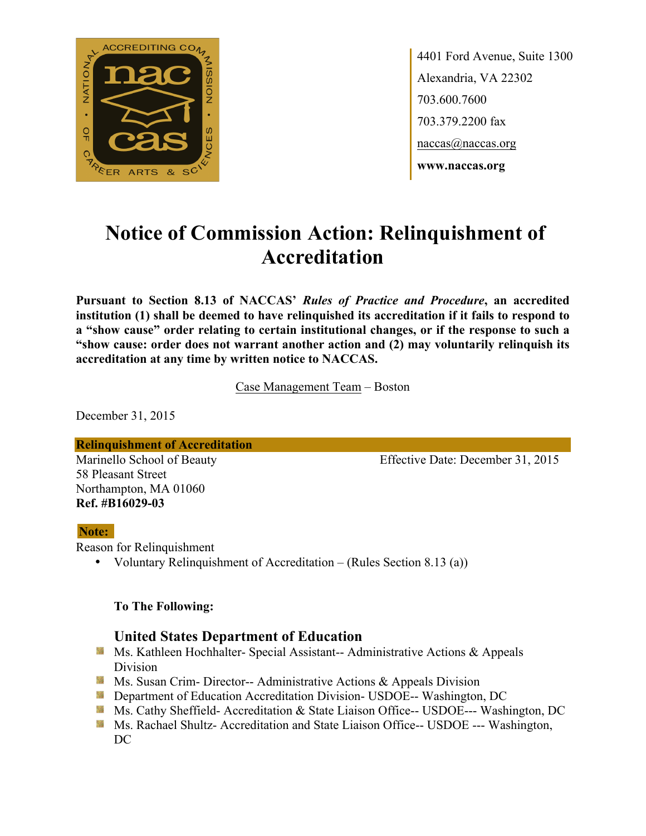

4401 Ford Avenue, Suite 1300 Alexandria, VA 22302 703.600.7600 703.379.2200 fax naccas@naccas.org **www.naccas.org**

# **Notice of Commission Action: Relinquishment of Accreditation**

**Pursuant to Section 8.13 of NACCAS'** *Rules of Practice and Procedure***, an accredited institution (1) shall be deemed to have relinquished its accreditation if it fails to respond to a "show cause" order relating to certain institutional changes, or if the response to such a "show cause: order does not warrant another action and (2) may voluntarily relinquish its accreditation at any time by written notice to NACCAS.**

Case Management Team – Boston

December 31, 2015

**Relinquishment of Accreditation**

58 Pleasant Street Northampton, MA 01060 **Ref. #B16029-03**

Marinello School of Beauty Effective Date: December 31, 2015

#### **Note:**

Reason for Relinquishment

• Voluntary Relinquishment of Accreditation – (Rules Section 8.13 (a))

#### **To The Following:**

### **United States Department of Education**

- **Ms. Kathleen Hochhalter- Special Assistant-- Administrative Actions & Appeals** Division
- **Ms. Susan Crim- Director-- Administrative Actions & Appeals Division**
- **Example 20 Interversity Department of Education Accreditation Division- USDOE-- Washington, DC**
- Ms. Cathy Sheffield- Accreditation & State Liaison Office-- USDOE--- Washington, DC
- **Ms. Rachael Shultz- Accreditation and State Liaison Office-- USDOE --- Washington,** DC